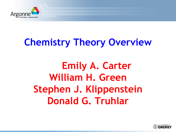

# **Chemistry Theory Overview**

## **Emily A. Carter William H. Green Stephen J. Klippenstein Donald G. Truhlar**

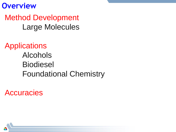**Overview**

Method Development Large Molecules

Applications Alcohols Biodiesel Foundational Chemistry

**Accuracies** 

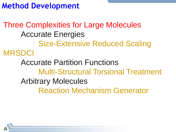**Method Development**

Three Complexities for Large Molecules Accurate Energies Size-Extensive Reduced Scaling MRSDCI Accurate Partition Functions Multi-Structural Torsional Treatment Arbitrary Molecules Reaction Mechanism Generator

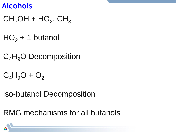#### **Alcohols**

- $CH<sub>3</sub>OH + HO<sub>2</sub>$ , CH<sub>3</sub>
- $HO<sub>2</sub> + 1$ -butanol
- $C_4H_9O$  Decomposition
- $C_4H_9O + O_2$
- iso-butanol Decomposition

RMG mechanisms for all butanols

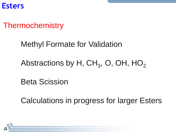**Esters**

#### **Thermochemistry**

#### Methyl Formate for Validation

## Abstractions by H, CH $_3$ , O, OH, HO $_2$

Beta Scission

Calculations in progress for larger Esters

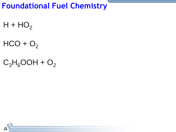### **Foundational Fuel Chemistry**

 $H + HO<sub>2</sub>$ 

 $HCO + O<sub>2</sub>$ 

 $C_3H_6OOH + O_2$ 

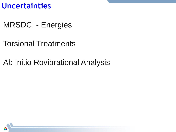**Uncertainties**

MRSDCI - Energies

Torsional Treatments

Ab Initio Rovibrational Analysis

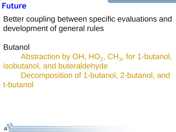#### **Future**

Better coupling between specific evaluations and development of general rules

Butanol

Abstraction by OH,  $HO_2$ , CH<sub>3</sub>, for 1-butanol, isobutanol, and buteraldehyde Decomposition of 1-butanol, 2-butanol, and t-butanol

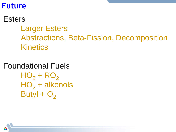#### **Future**

### **Esters** Larger Esters Abstractions, Beta-Fission, Decomposition **Kinetics**

Foundational Fuels  $HO<sub>2</sub> + RO<sub>2</sub>$  $HO<sub>2</sub> + alkenols$ Butyl +  $O<sub>2</sub>$